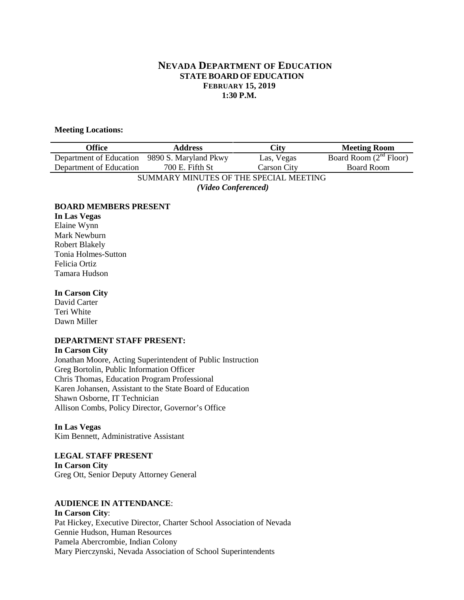# **NEVADA DEPARTMENT OF EDUCATION STATE BOARD OF EDUCATION FEBRUARY 15, 2019 1:30 P.M.**

#### **Meeting Locations:**

| <b>Office</b>                          | <b>Address</b>        | <b>City</b>        | <b>Meeting Room</b>      |
|----------------------------------------|-----------------------|--------------------|--------------------------|
| Department of Education                | 9890 S. Maryland Pkwy | Las, Vegas         | Board Room $(2nd$ Floor) |
| Department of Education                | 700 E. Fifth St       | <b>Carson City</b> | <b>Board Room</b>        |
| SUMMARY MINUTES OF THE SPECIAL MEETING |                       |                    |                          |
| (Video Conferenced)                    |                       |                    |                          |

#### **BOARD MEMBERS PRESENT**

**In Las Vegas** Elaine Wynn Mark Newburn Robert Blakely Tonia Holmes-Sutton Felicia Ortiz Tamara Hudson

#### **In Carson City**

David Carter Teri White Dawn Miller

#### **DEPARTMENT STAFF PRESENT:**

#### **In Carson City**

Jonathan Moore, Acting Superintendent of Public Instruction Greg Bortolin, Public Information Officer Chris Thomas, Education Program Professional Karen Johansen, Assistant to the State Board of Education Shawn Osborne, IT Technician Allison Combs, Policy Director, Governor's Office

#### **In Las Vegas** Kim Bennett, Administrative Assistant

# **LEGAL STAFF PRESENT In Carson City** Greg Ott, Senior Deputy Attorney General

# **AUDIENCE IN ATTENDANCE**:

**In Carson City**: Pat Hickey, Executive Director, Charter School Association of Nevada Gennie Hudson, Human Resources Pamela Abercrombie, Indian Colony Mary Pierczynski, Nevada Association of School Superintendents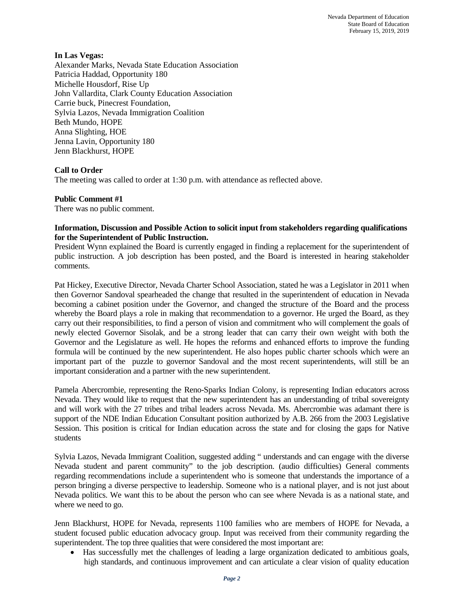# **In Las Vegas:**

Alexander Marks, Nevada State Education Association Patricia Haddad, Opportunity 180 Michelle Housdorf, Rise Up John Vallardita, Clark County Education Association Carrie buck, Pinecrest Foundation, Sylvia Lazos, Nevada Immigration Coalition Beth Mundo, HOPE Anna Slighting, HOE Jenna Lavin, Opportunity 180 Jenn Blackhurst, HOPE

# **Call to Order**

The meeting was called to order at 1:30 p.m. with attendance as reflected above.

#### **Public Comment #1**

There was no public comment.

#### **Information, Discussion and Possible Action to solicit input from stakeholders regarding qualifications for the Superintendent of Public Instruction.**

President Wynn explained the Board is currently engaged in finding a replacement for the superintendent of public instruction. A job description has been posted, and the Board is interested in hearing stakeholder comments.

Pat Hickey, Executive Director, Nevada Charter School Association, stated he was a Legislator in 2011 when then Governor Sandoval spearheaded the change that resulted in the superintendent of education in Nevada becoming a cabinet position under the Governor, and changed the structure of the Board and the process whereby the Board plays a role in making that recommendation to a governor. He urged the Board, as they carry out their responsibilities, to find a person of vision and commitment who will complement the goals of newly elected Governor Sisolak, and be a strong leader that can carry their own weight with both the Governor and the Legislature as well. He hopes the reforms and enhanced efforts to improve the funding formula will be continued by the new superintendent. He also hopes public charter schools which were an important part of the puzzle to governor Sandoval and the most recent superintendents, will still be an important consideration and a partner with the new superintendent.

Pamela Abercrombie, representing the Reno-Sparks Indian Colony, is representing Indian educators across Nevada. They would like to request that the new superintendent has an understanding of tribal sovereignty and will work with the 27 tribes and tribal leaders across Nevada. Ms. Abercrombie was adamant there is support of the NDE Indian Education Consultant position authorized by A.B. 266 from the 2003 Legislative Session. This position is critical for Indian education across the state and for closing the gaps for Native students

Sylvia Lazos, Nevada Immigrant Coalition, suggested adding " understands and can engage with the diverse Nevada student and parent community" to the job description. (audio difficulties) General comments regarding recommendations include a superintendent who is someone that understands the importance of a person bringing a diverse perspective to leadership. Someone who is a national player, and is not just about Nevada politics. We want this to be about the person who can see where Nevada is as a national state, and where we need to go.

Jenn Blackhurst, HOPE for Nevada, represents 1100 families who are members of HOPE for Nevada, a student focused public education advocacy group. Input was received from their community regarding the superintendent. The top three qualities that were considered the most important are:

• Has successfully met the challenges of leading a large organization dedicated to ambitious goals, high standards, and continuous improvement and can articulate a clear vision of quality education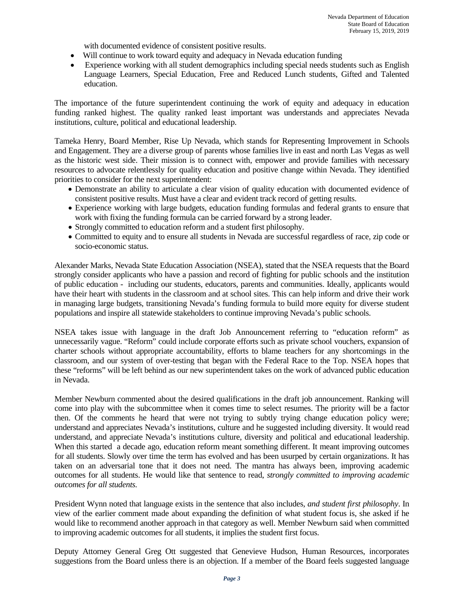with documented evidence of consistent positive results.

- Will continue to work toward equity and adequacy in Nevada education funding
- Experience working with all student demographics including special needs students such as English Language Learners, Special Education, Free and Reduced Lunch students, Gifted and Talented education.

The importance of the future superintendent continuing the work of equity and adequacy in education funding ranked highest. The quality ranked least important was understands and appreciates Nevada institutions, culture, political and educational leadership.

Tameka Henry, Board Member, Rise Up Nevada, which stands for Representing Improvement in Schools and Engagement. They are a diverse group of parents whose families live in east and north Las Vegas as well as the historic west side. Their mission is to connect with, empower and provide families with necessary resources to advocate relentlessly for quality education and positive change within Nevada. They identified priorities to consider for the next superintendent:

- Demonstrate an ability to articulate a clear vision of quality education with documented evidence of consistent positive results. Must have a clear and evident track record of getting results.
- Experience working with large budgets, education funding formulas and federal grants to ensure that work with fixing the funding formula can be carried forward by a strong leader.
- Strongly committed to education reform and a student first philosophy.
- Committed to equity and to ensure all students in Nevada are successful regardless of race, zip code or socio-economic status.

Alexander Marks, Nevada State Education Association (NSEA), stated that the NSEA requests that the Board strongly consider applicants who have a passion and record of fighting for public schools and the institution of public education - including our students, educators, parents and communities. Ideally, applicants would have their heart with students in the classroom and at school sites. This can help inform and drive their work in managing large budgets, transitioning Nevada's funding formula to build more equity for diverse student populations and inspire all statewide stakeholders to continue improving Nevada's public schools.

NSEA takes issue with language in the draft Job Announcement referring to "education reform" as unnecessarily vague. "Reform" could include corporate efforts such as private school vouchers, expansion of charter schools without appropriate accountability, efforts to blame teachers for any shortcomings in the classroom, and our system of over-testing that began with the Federal Race to the Top. NSEA hopes that these "reforms" will be left behind as our new superintendent takes on the work of advanced public education in Nevada.

Member Newburn commented about the desired qualifications in the draft job announcement. Ranking will come into play with the subcommittee when it comes time to select resumes. The priority will be a factor then. Of the comments he heard that were not trying to subtly trying change education policy were; understand and appreciates Nevada's institutions, culture and he suggested including diversity. It would read understand, and appreciate Nevada's institutions culture, diversity and political and educational leadership. When this started a decade ago, education reform meant something different. It meant improving outcomes for all students. Slowly over time the term has evolved and has been usurped by certain organizations. It has taken on an adversarial tone that it does not need. The mantra has always been, improving academic outcomes for all students. He would like that sentence to read, *strongly committed to improving academic outcomes for all students.* 

President Wynn noted that language exists in the sentence that also includes*, and student first philosophy*. In view of the earlier comment made about expanding the definition of what student focus is, she asked if he would like to recommend another approach in that category as well. Member Newburn said when committed to improving academic outcomes for all students, it implies the student first focus.

Deputy Attorney General Greg Ott suggested that Genevieve Hudson, Human Resources, incorporates suggestions from the Board unless there is an objection. If a member of the Board feels suggested language